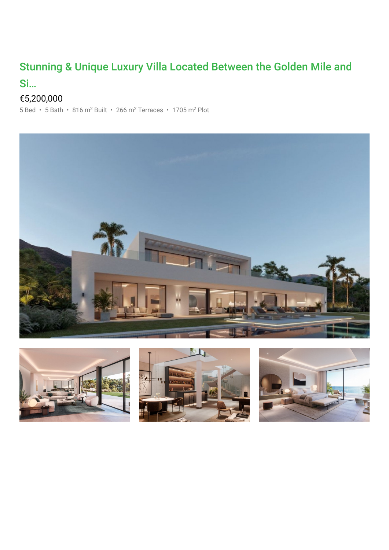## Stunning & Unique Luxury Villa Located Between the Golden Mile and

## Si…

## €5,200,000

 $5$  Bed •  $5$  Bath • 816 m<sup>2</sup> Built • 266 m<sup>2</sup> Terraces • 1705 m<sup>2</sup> Plot